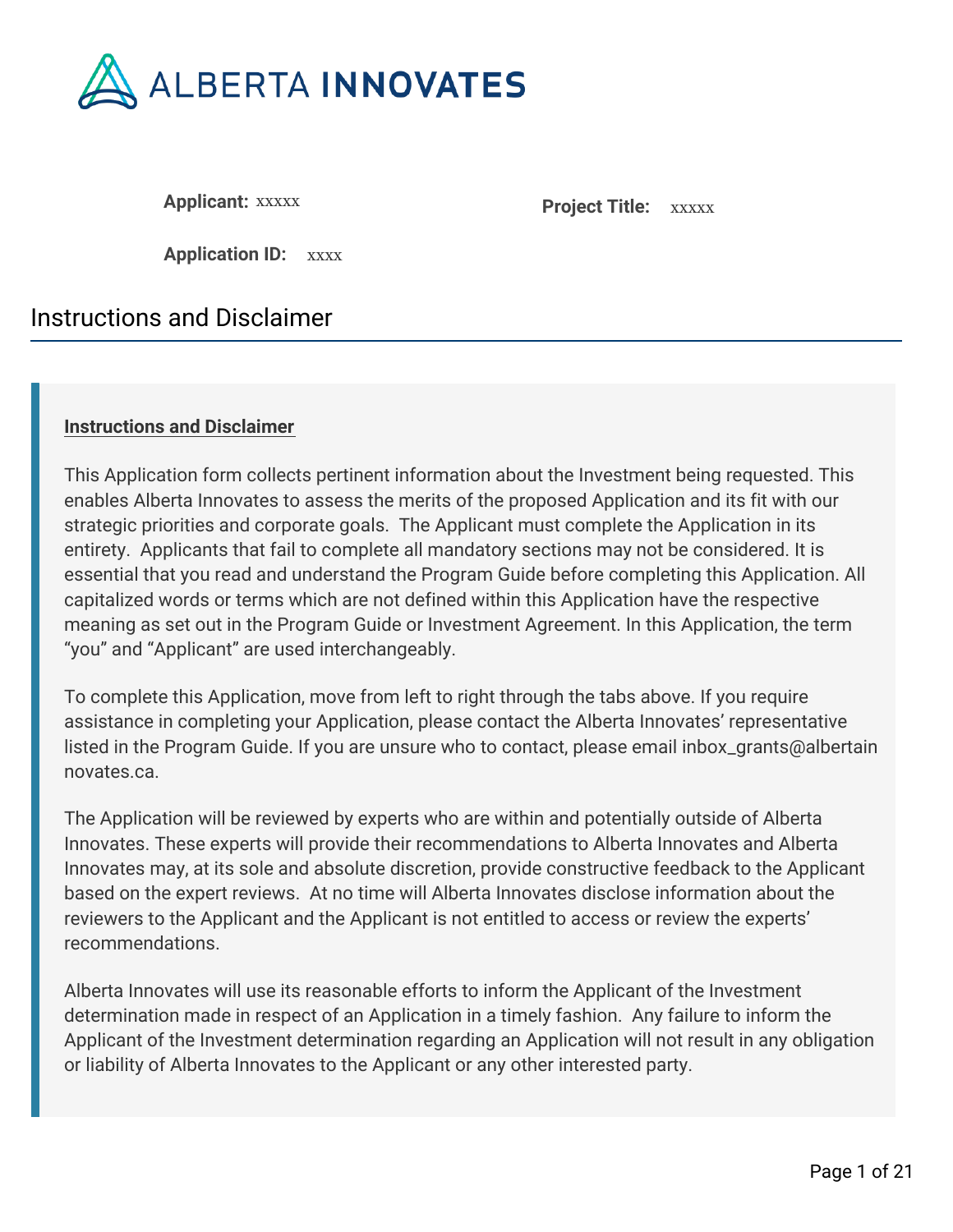

**Applicant: XXXXX Project Title: XXXXX** 

**Application ID:** xxxx

# Instructions and Disclaimer

### **Instructions and Disclaimer**

This Application form collects pertinent information about the Investment being requested. This enables Alberta Innovates to assess the merits of the proposed Application and its fit with our strategic priorities and corporate goals. The Applicant must complete the Application in its entirety. Applicants that fail to complete all mandatory sections may not be considered. It is essential that you read and understand the Program Guide before completing this Application. All capitalized words or terms which are not defined within this Application have the respective meaning as set out in the Program Guide or Investment Agreement. In this Application, the term "you" and "Applicant" are used interchangeably.

To complete this Application, move from left to right through the tabs above. If you require assistance in completing your Application, please contact the Alberta Innovates' representative listed in the Program Guide. If you are unsure who to contact, please email inbox\_grants@albertain novates.ca.

The Application will be reviewed by experts who are within and potentially outside of Alberta Innovates. These experts will provide their recommendations to Alberta Innovates and Alberta Innovates may, at its sole and absolute discretion, provide constructive feedback to the Applicant based on the expert reviews. At no time will Alberta Innovates disclose information about the reviewers to the Applicant and the Applicant is not entitled to access or review the experts' recommendations.

Alberta Innovates will use its reasonable efforts to inform the Applicant of the Investment determination made in respect of an Application in a timely fashion. Any failure to inform the Applicant of the Investment determination regarding an Application will not result in any obligation or liability of Alberta Innovates to the Applicant or any other interested party.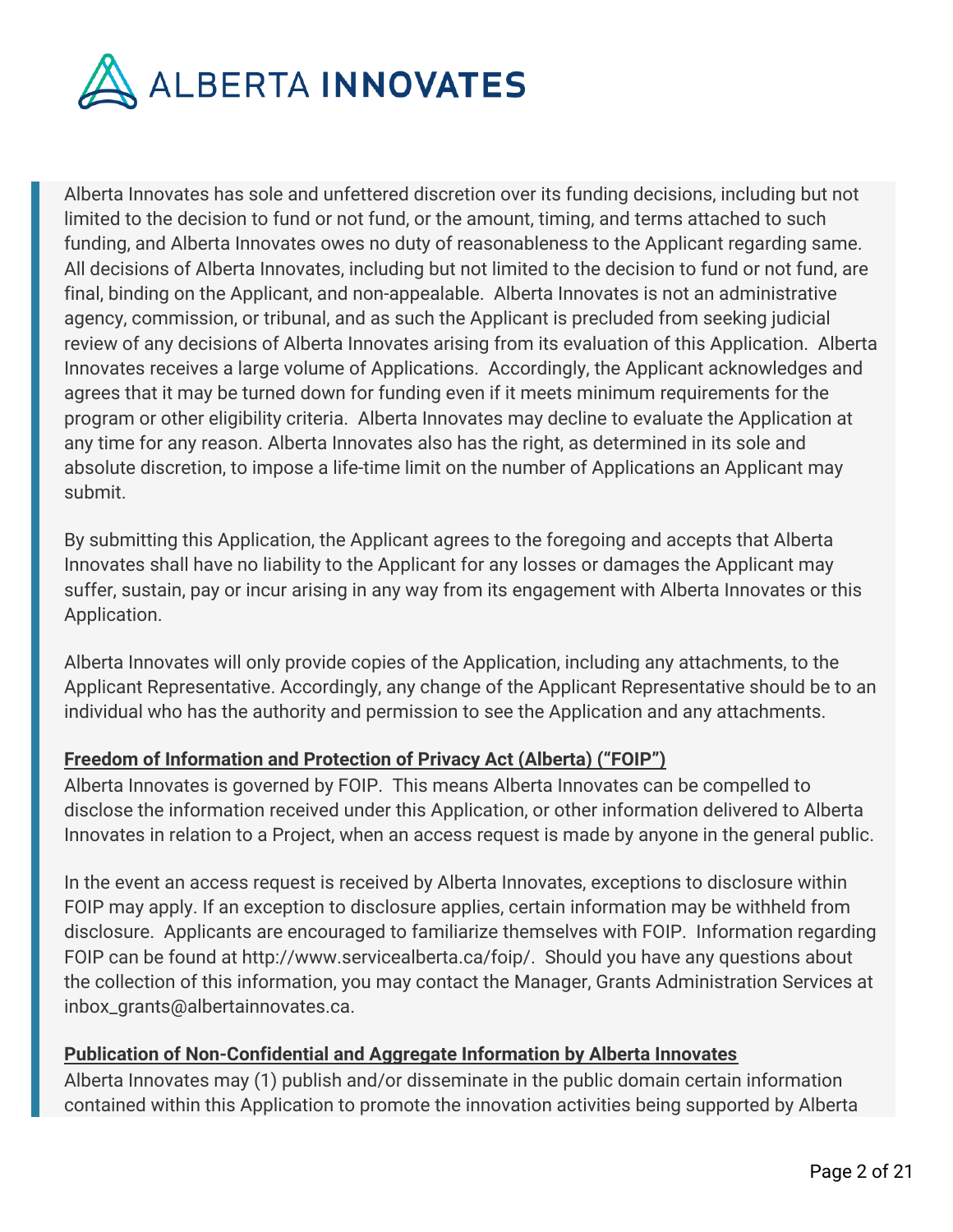

Alberta Innovates has sole and unfettered discretion over its funding decisions, including but not limited to the decision to fund or not fund, or the amount, timing, and terms attached to such funding, and Alberta Innovates owes no duty of reasonableness to the Applicant regarding same. All decisions of Alberta Innovates, including but not limited to the decision to fund or not fund, are final, binding on the Applicant, and non-appealable. Alberta Innovates is not an administrative agency, commission, or tribunal, and as such the Applicant is precluded from seeking judicial review of any decisions of Alberta Innovates arising from its evaluation of this Application. Alberta Innovates receives a large volume of Applications. Accordingly, the Applicant acknowledges and agrees that it may be turned down for funding even if it meets minimum requirements for the program or other eligibility criteria. Alberta Innovates may decline to evaluate the Application at any time for any reason. Alberta Innovates also has the right, as determined in its sole and absolute discretion, to impose a life-time limit on the number of Applications an Applicant may submit.

By submitting this Application, the Applicant agrees to the foregoing and accepts that Alberta Innovates shall have no liability to the Applicant for any losses or damages the Applicant may suffer, sustain, pay or incur arising in any way from its engagement with Alberta Innovates or this Application.

Alberta Innovates will only provide copies of the Application, including any attachments, to the Applicant Representative. Accordingly, any change of the Applicant Representative should be to an individual who has the authority and permission to see the Application and any attachments.

### **Freedom of Information and Protection of Privacy Act (Alberta) ("FOIP")**

Alberta Innovates is governed by FOIP. This means Alberta Innovates can be compelled to disclose the information received under this Application, or other information delivered to Alberta Innovates in relation to a Project, when an access request is made by anyone in the general public.

In the event an access request is received by Alberta Innovates, exceptions to disclosure within FOIP may apply. If an exception to disclosure applies, certain information may be withheld from disclosure. Applicants are encouraged to familiarize themselves with FOIP. Information regarding FOIP can be found at http://www.servicealberta.ca/foip/. Should you have any questions about the collection of this information, you may contact the Manager, Grants Administration Services at inbox\_grants@albertainnovates.ca.

### **Publication of Non-Confidential and Aggregate Information by Alberta Innovates**

Alberta Innovates may (1) publish and/or disseminate in the public domain certain information contained within this Application to promote the innovation activities being supported by Alberta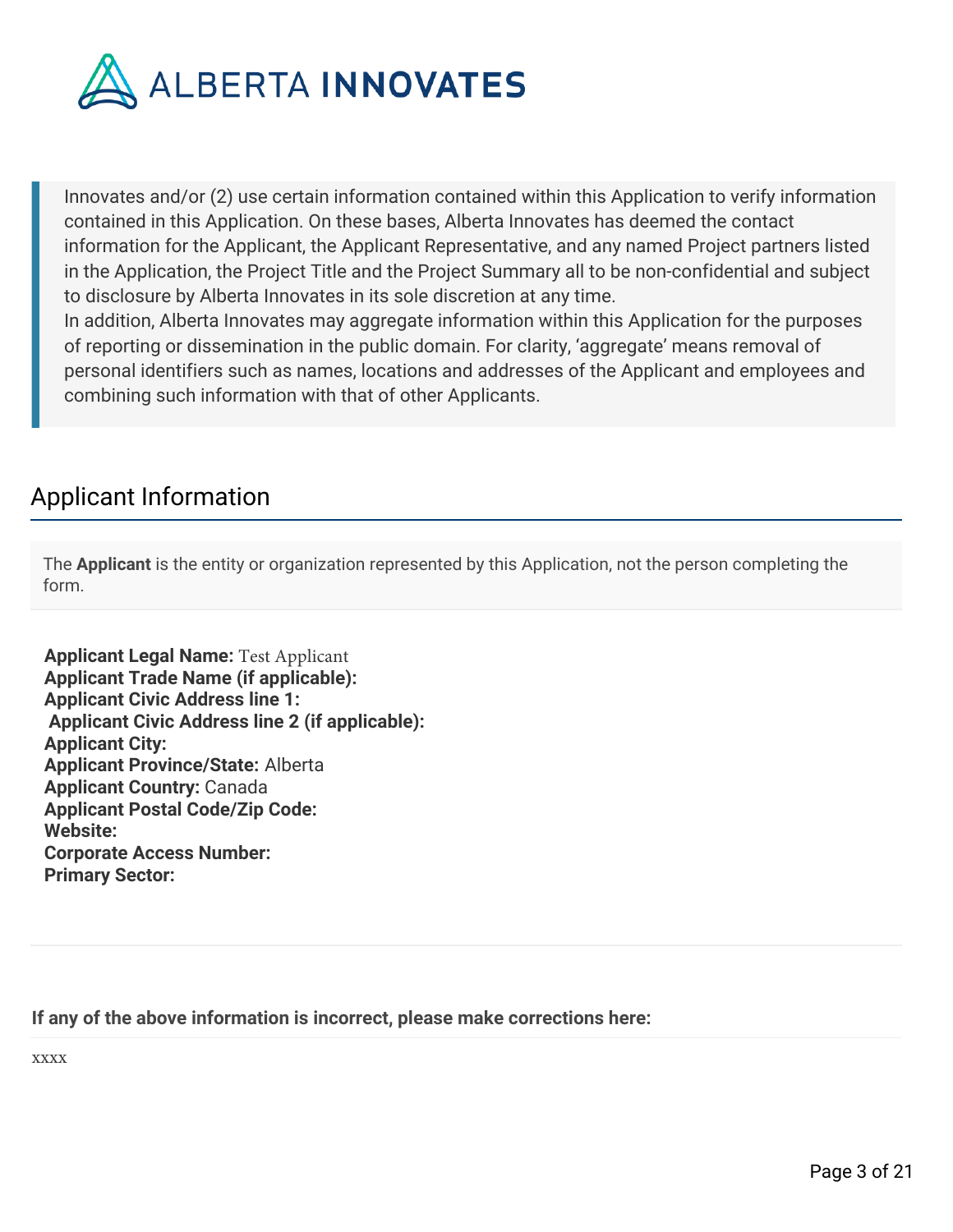

Innovates and/or (2) use certain information contained within this Application to verify information contained in this Application. On these bases, Alberta Innovates has deemed the contact information for the Applicant, the Applicant Representative, and any named Project partners listed in the Application, the Project Title and the Project Summary all to be non-confidential and subject to disclosure by Alberta Innovates in its sole discretion at any time.

In addition, Alberta Innovates may aggregate information within this Application for the purposes of reporting or dissemination in the public domain. For clarity, 'aggregate' means removal of personal identifiers such as names, locations and addresses of the Applicant and employees and combining such information with that of other Applicants.

# Applicant Information

The **Applicant** is the entity or organization represented by this Application, not the person completing the form.

**Applicant Legal Name:** Test Applicant **Applicant Trade Name (if applicable): Applicant Civic Address line 1: Applicant Civic Address line 2 (if applicable): Applicant City: Applicant Province/State:** Alberta **Applicant Country:** Canada **Applicant Postal Code/Zip Code: Website: Corporate Access Number: Primary Sector:**

**If any of the above information is incorrect, please make corrections here:**

xxxx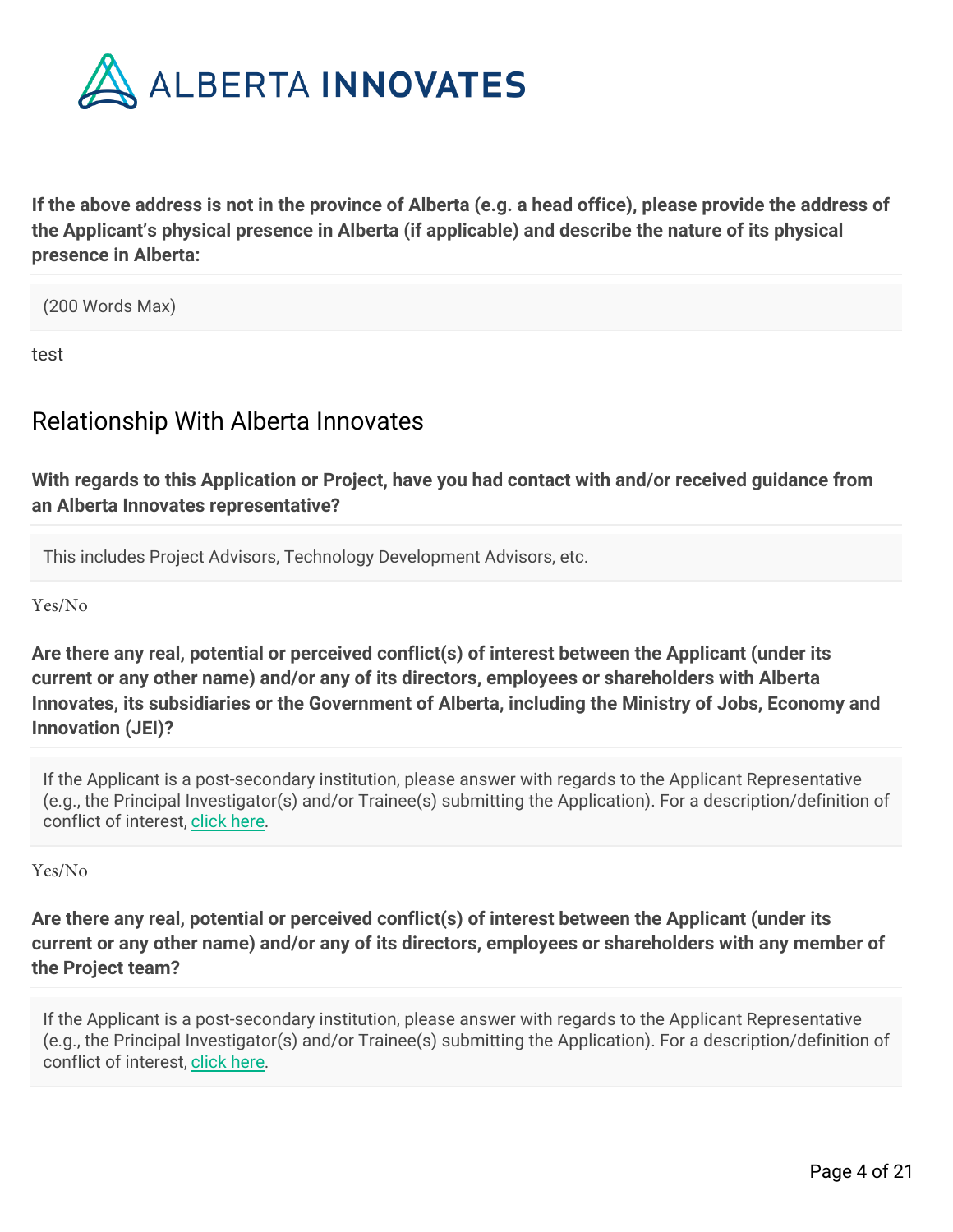

**If the above address is not in the province of Alberta (e.g. a head office), please provide the address of the Applicant's physical presence in Alberta (if applicable) and describe the nature of its physical presence in Alberta:**

(200 Words Max)

test

# Relationship With Alberta Innovates

**With regards to this Application or Project, have you had contact with and/or received guidance from an Alberta Innovates representative?**

This includes Project Advisors, Technology Development Advisors, etc.

Yes/No

**Are there any real, potential or perceived conflict(s) of interest between the Applicant (under its current or any other name) and/or any of its directors, employees or shareholders with Alberta Innovates, its subsidiaries or the Government of Alberta, including the Ministry of Jobs, Economy and Innovation (JEI)?**

If the Applicant is a post-secondary institution, please answer with regards to the Applicant Representative (e.g., the Principal Investigator(s) and/or Trainee(s) submitting the Application). For a description/definition of conflict of interest, [click here](https://albertainnovates.smartsimple.ca/files/646815/f125423/Conflict_of_Interest_Definition.pdf).

Yes/No

**Are there any real, potential or perceived conflict(s) of interest between the Applicant (under its current or any other name) and/or any of its directors, employees or shareholders with any member of the Project team?**

If the Applicant is a post-secondary institution, please answer with regards to the Applicant Representative (e.g., the Principal Investigator(s) and/or Trainee(s) submitting the Application). For a description/definition of conflict of interest, [click here](https://albertainnovates.smartsimple.ca/files/646815/f125423/Conflict_of_Interest_Definition.pdf).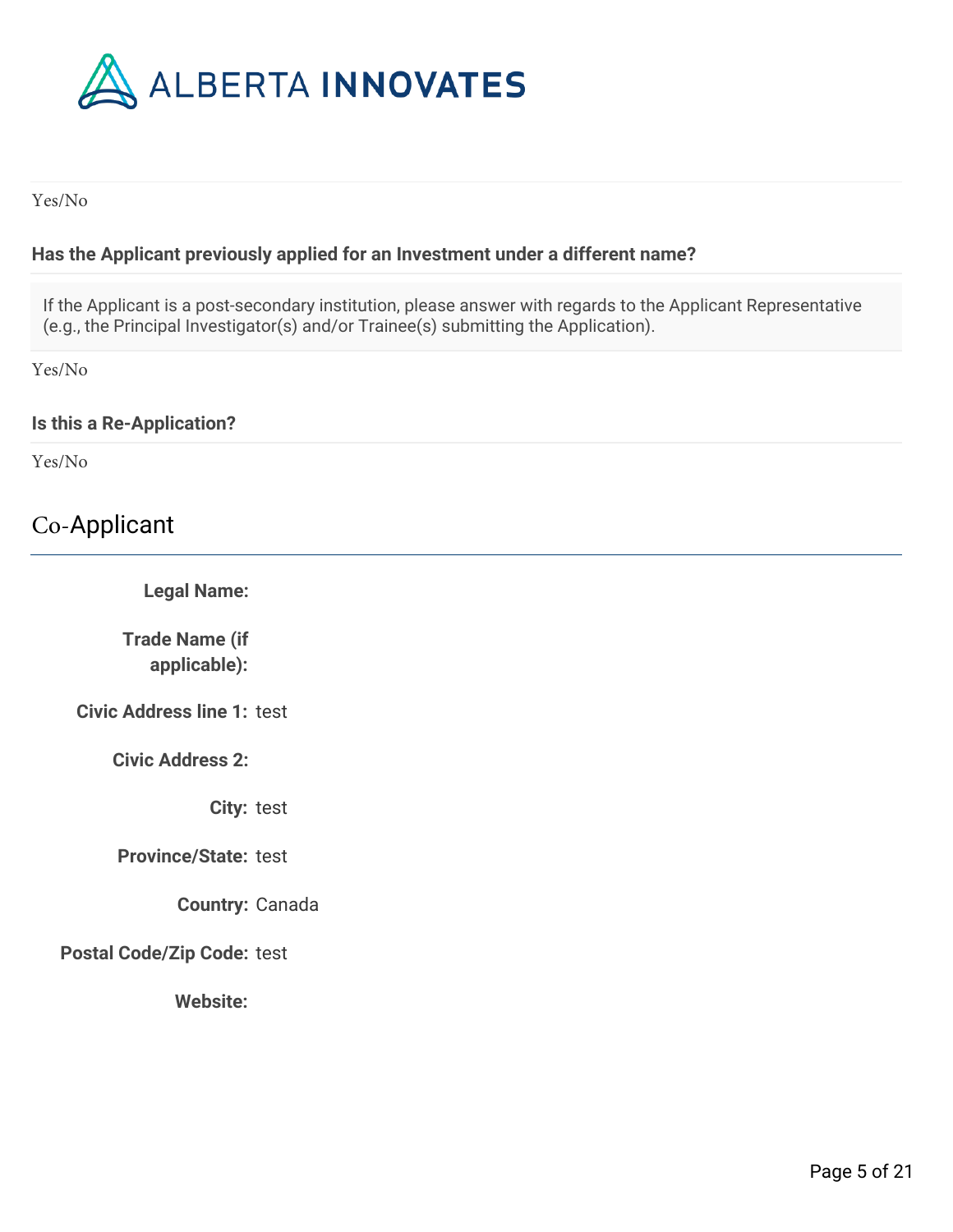

Yes/No

### **Has the Applicant previously applied for an Investment under a different name?**

If the Applicant is a post-secondary institution, please answer with regards to the Applicant Representative (e.g., the Principal Investigator(s) and/or Trainee(s) submitting the Application).

Yes/No

#### **Is this a Re-Application?**

Yes/No

# Co-Applicant

**Legal Name:** 

**Trade Name (if applicable):**

**Civic Address line 1:** test

**Civic Address 2:**

**City:** test

**Province/State:** test

**Country:** Canada

**Postal Code/Zip Code:** test

**Website:**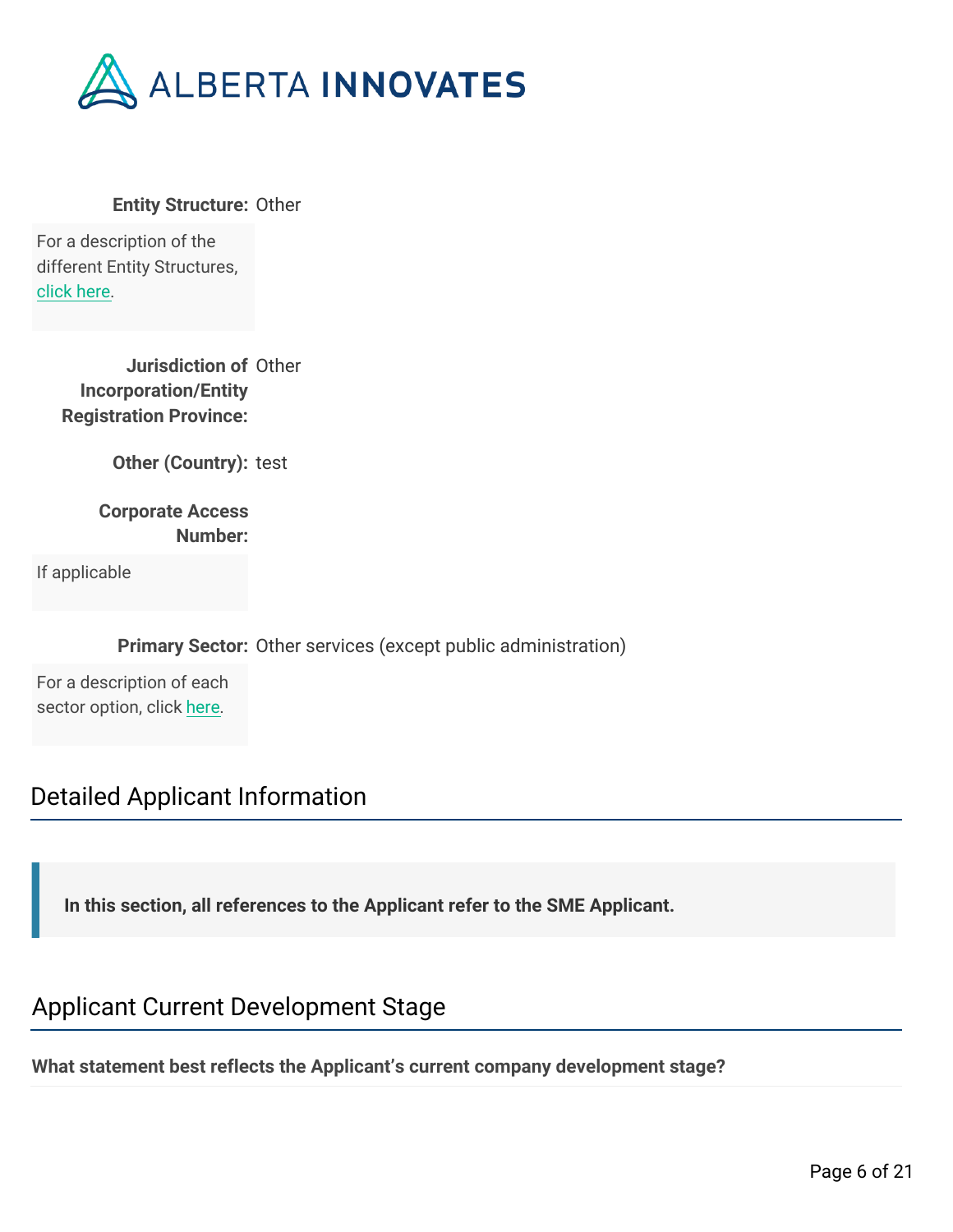

**Entity Structure:** Other

For a description of the different Entity Structures, [click here](https://albertainnovates.smartsimple.ca/files/646815/f125423/Alberta_Innovates_-_Entity_Structure_Help.pdf).

> **Jurisdiction of** Other **Incorporation/Entity Registration Province:**

> > **Other (Country):** test

**Corporate Access Number:**

If applicable

**Primary Sector:** Other services (except public administration)

For a description of each sector option, click [here](https://albertainnovates.smartsimple.ca/files/646815/f125366/NAICs_Level1_List.pdf).

## Detailed Applicant Information

**In this section, all references to the Applicant refer to the SME Applicant.**

## Applicant Current Development Stage

**What statement best reflects the Applicant's current company development stage?**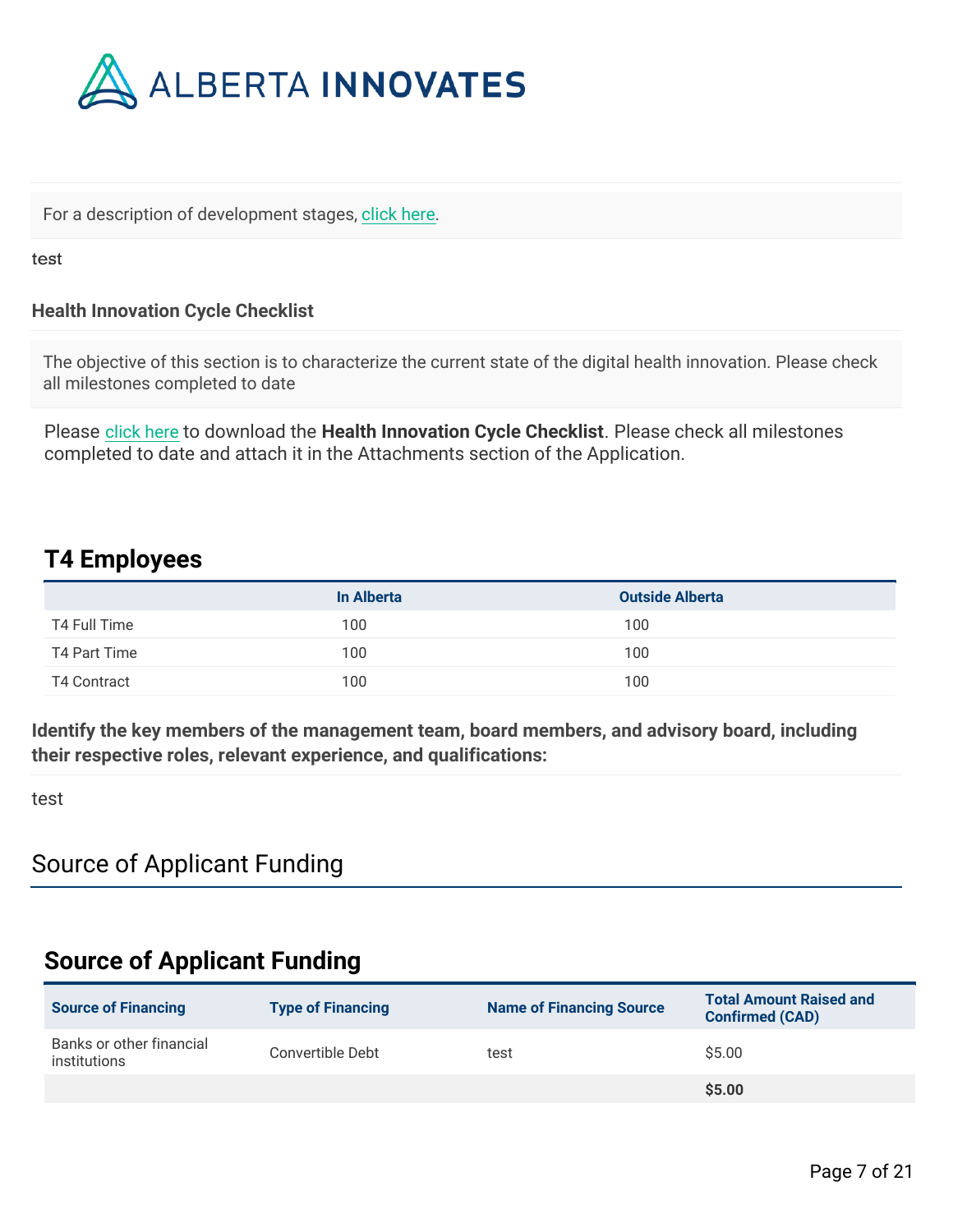

For a description of development stages, [click here](https://albertainnovates.smartsimple.ca/files/646815/f125423/DevelopmentStageDefinitions.pdf).

test

### **Health Innovation Cycle Checklist**

The objective of this section is to characterize the current state of the digital health innovation. Please check all milestones completed to date

Please [click here](https://albertainnovates.smartsimple.ca/files/646815/f125423/AI_Health_Innovation_-_Intake_Checklist.docx) to download the **Health Innovation Cycle Checklist**. Please check all milestones completed to date and attach it in the Attachments section of the Application.

## **T4 Employees**

|              | In Alberta | <b>Outside Alberta</b> |
|--------------|------------|------------------------|
| T4 Full Time | 100        | 100                    |
| T4 Part Time | 100        | 100                    |
| T4 Contract  | 100        | 100                    |

**Identify the key members of the management team, board members, and advisory board, including their respective roles, relevant experience, and qualifications:**

test

## Source of Applicant Funding

## **Source of Applicant Funding**

| <b>Source of Financing</b>               | <b>Type of Financing</b> | <b>Name of Financing Source</b> | <b>Total Amount Raised and</b><br><b>Confirmed (CAD)</b> |
|------------------------------------------|--------------------------|---------------------------------|----------------------------------------------------------|
| Banks or other financial<br>institutions | Convertible Debt         | test                            | \$5.00                                                   |
|                                          |                          |                                 | \$5.00                                                   |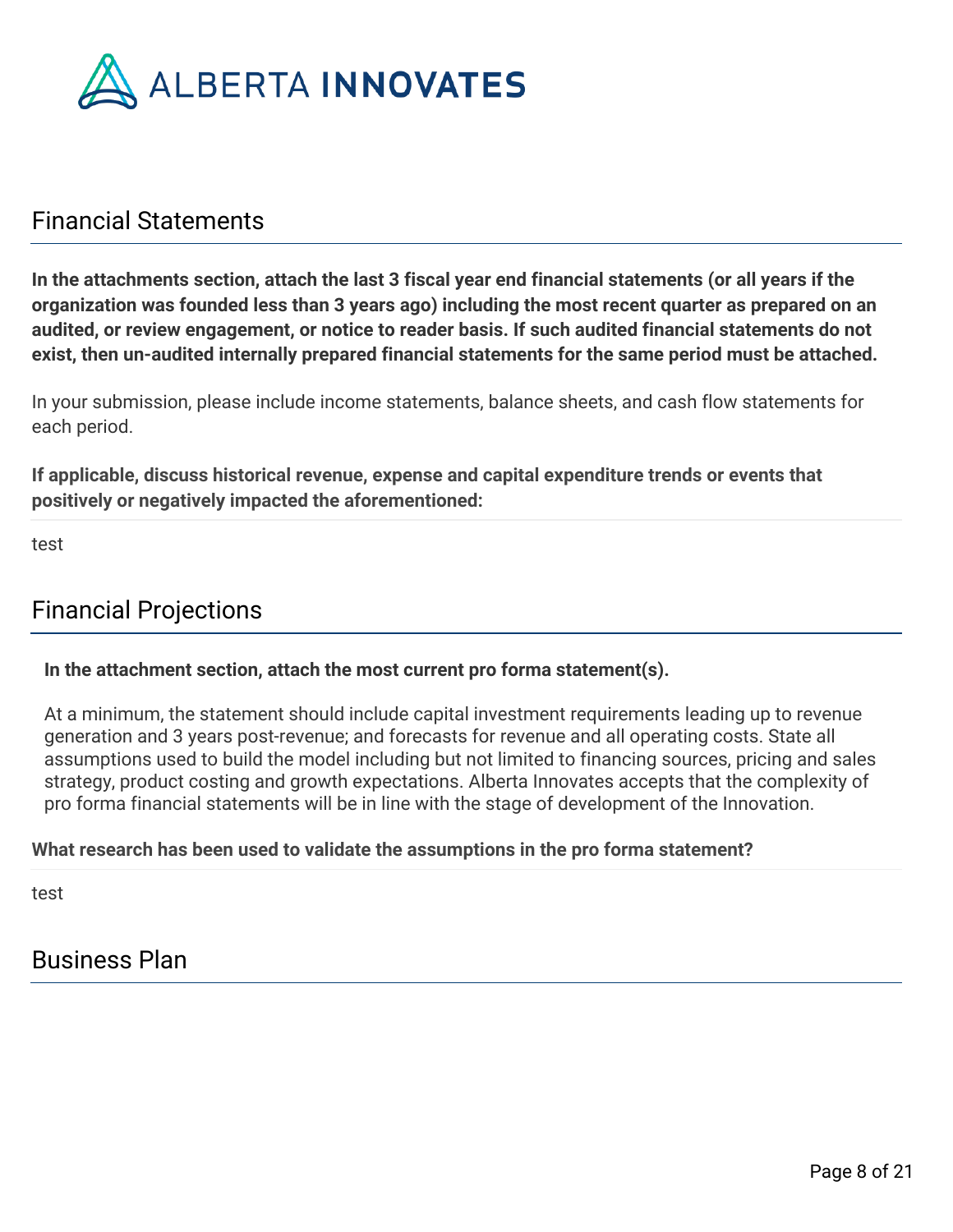

# Financial Statements

**In the attachments section, attach the last 3 fiscal year end financial statements (or all years if the organization was founded less than 3 years ago) including the most recent quarter as prepared on an audited, or review engagement, or notice to reader basis. If such audited financial statements do not exist, then un-audited internally prepared financial statements for the same period must be attached.**

In your submission, please include income statements, balance sheets, and cash flow statements for each period.

**If applicable, discuss historical revenue, expense and capital expenditure trends or events that positively or negatively impacted the aforementioned:**

test

# Financial Projections

### **In the attachment section, attach the most current pro forma statement(s).**

At a minimum, the statement should include capital investment requirements leading up to revenue generation and 3 years post-revenue; and forecasts for revenue and all operating costs. State all assumptions used to build the model including but not limited to financing sources, pricing and sales strategy, product costing and growth expectations. Alberta Innovates accepts that the complexity of pro forma financial statements will be in line with the stage of development of the Innovation.

### **What research has been used to validate the assumptions in the pro forma statement?**

test

# Business Plan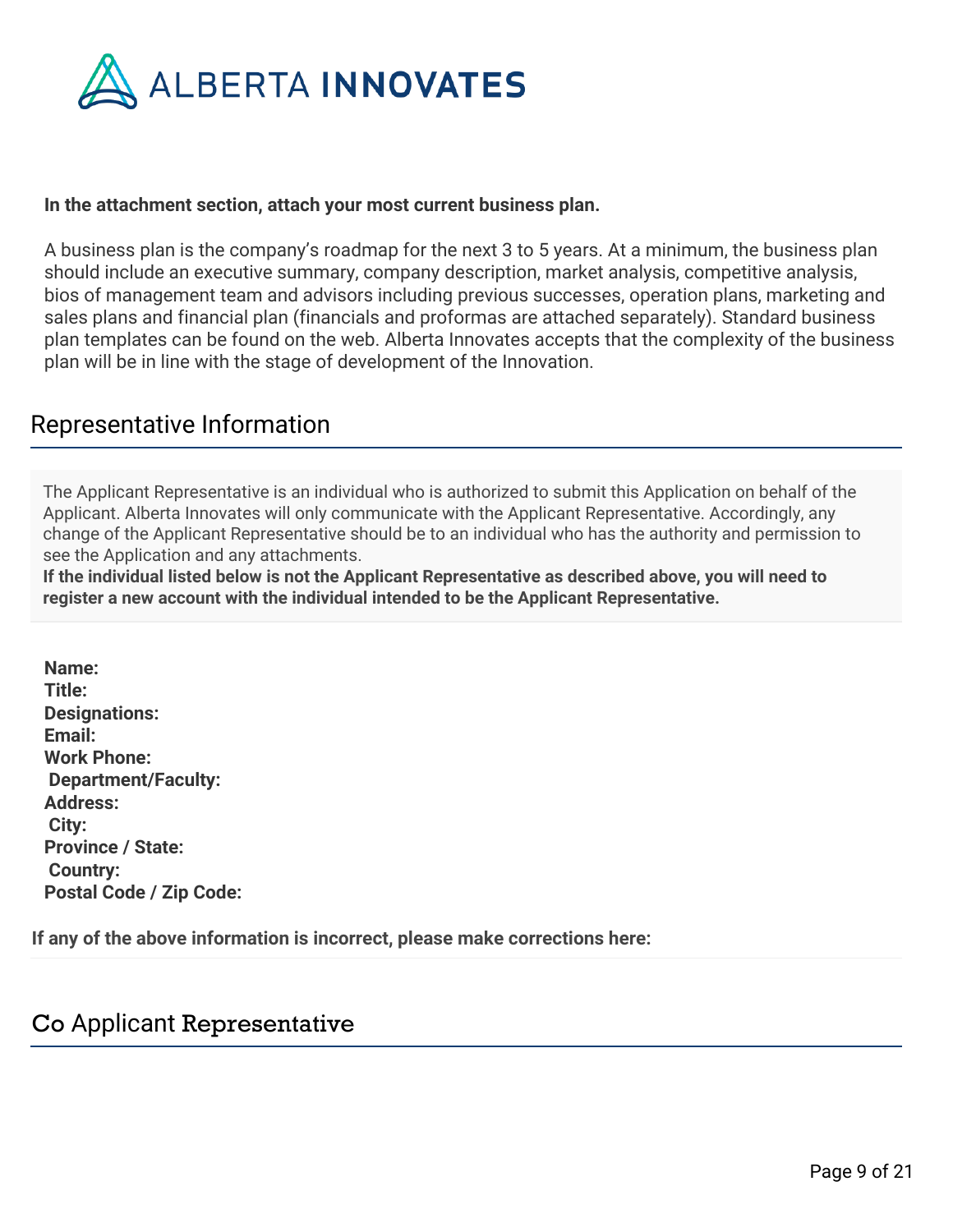

#### **In the attachment section, attach your most current business plan.**

A business plan is the company's roadmap for the next 3 to 5 years. At a minimum, the business plan should include an executive summary, company description, market analysis, competitive analysis, bios of management team and advisors including previous successes, operation plans, marketing and sales plans and financial plan (financials and proformas are attached separately). Standard business plan templates can be found on the web. Alberta Innovates accepts that the complexity of the business plan will be in line with the stage of development of the Innovation.

## Representative Information

The Applicant Representative is an individual who is authorized to submit this Application on behalf of the Applicant. Alberta Innovates will only communicate with the Applicant Representative. Accordingly, any change of the Applicant Representative should be to an individual who has the authority and permission to see the Application and any attachments.

**If the individual listed below is not the Applicant Representative as described above, you will need to register a new account with the individual intended to be the Applicant Representative.**

**Name: Title: Designations: Email: Work Phone: Department/Faculty: Address: City: Province / State: Country: Postal Code / Zip Code:**

**If any of the above information is incorrect, please make corrections here:**

## Co Applicant Representative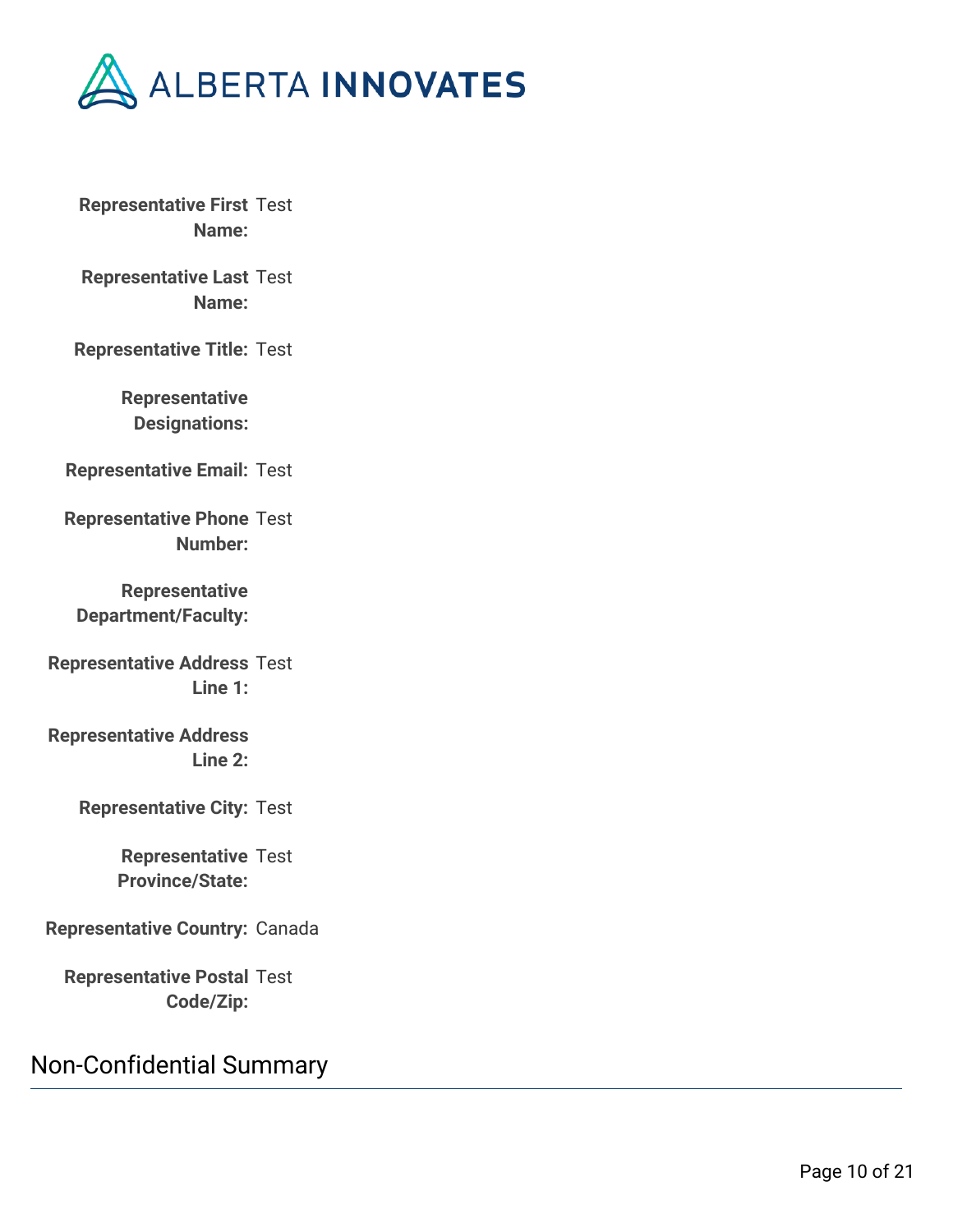

**Representative First** Test **Name:**

**Representative Last** Test **Name:**

**Representative Title:** Test

**Representative Designations:**

**Representative Email:** Test

**Representative Phone** Test **Number:**

**Representative Department/Faculty:**

**Representative Address** Test **Line 1:**

**Representative Address Line 2:**

**Representative City:** Test

**Representative** Test **Province/State:**

**Representative Country:** Canada

**Representative Postal** Test **Code/Zip:**

Non-Confidential Summary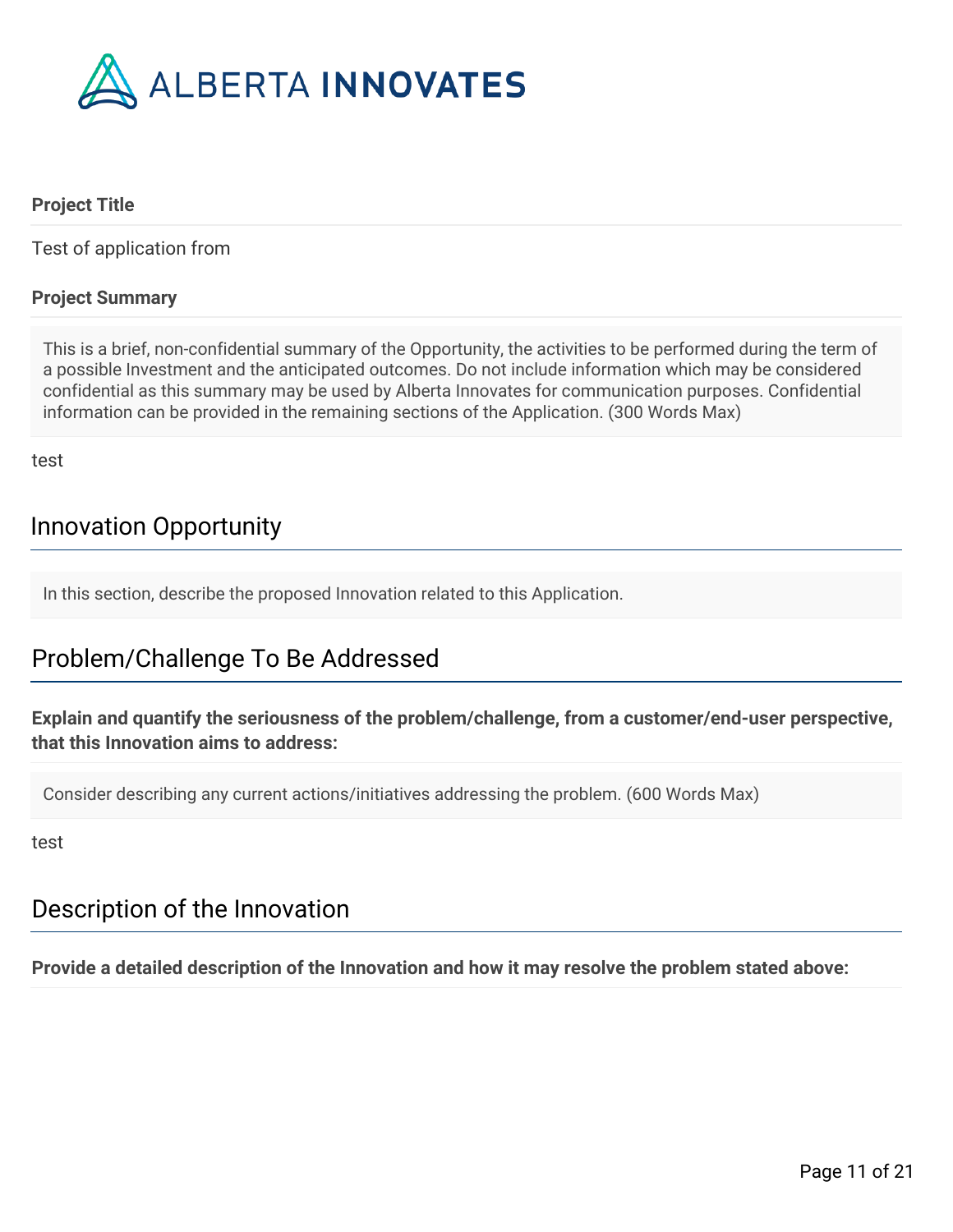

### **Project Title**

Test of application from

### **Project Summary**

This is a brief, non-confidential summary of the Opportunity, the activities to be performed during the term of a possible Investment and the anticipated outcomes. Do not include information which may be considered confidential as this summary may be used by Alberta Innovates for communication purposes. Confidential information can be provided in the remaining sections of the Application. (300 Words Max)

test

# Innovation Opportunity

In this section, describe the proposed Innovation related to this Application.

# Problem/Challenge To Be Addressed

**Explain and quantify the seriousness of the problem/challenge, from a customer/end-user perspective, that this Innovation aims to address:**

Consider describing any current actions/initiatives addressing the problem. (600 Words Max)

test

## Description of the Innovation

**Provide a detailed description of the Innovation and how it may resolve the problem stated above:**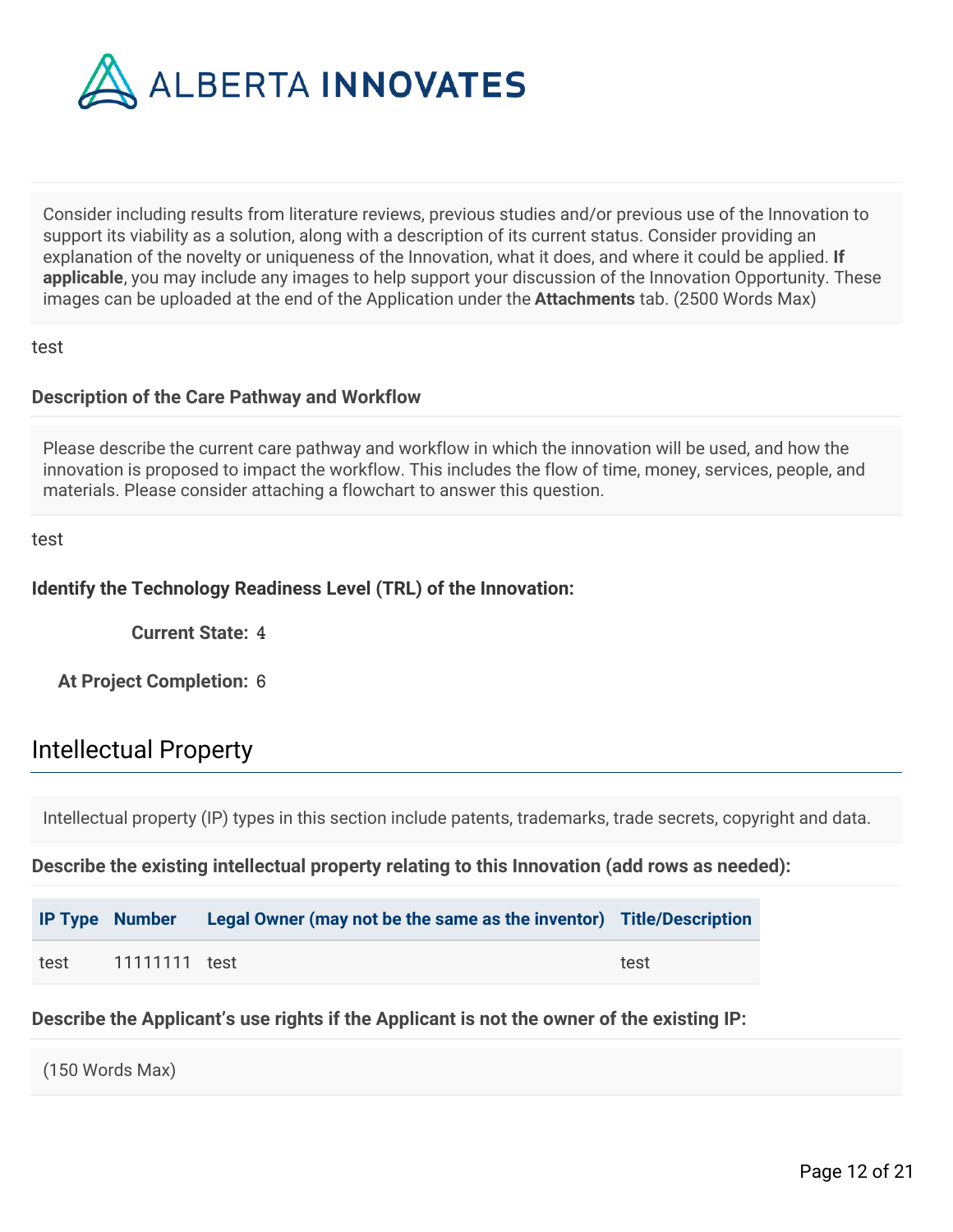

Consider including results from literature reviews, previous studies and/or previous use of the Innovation to support its viability as a solution, along with a description of its current status. Consider providing an explanation of the novelty or uniqueness of the Innovation, what it does, and where it could be applied. **If applicable**, you may include any images to help support your discussion of the Innovation Opportunity. These images can be uploaded at the end of the Application under the **Attachments** tab. (2500 Words Max)

test

### **Description of the Care Pathway and Workflow**

Please describe the current care pathway and workflow in which the innovation will be used, and how the innovation is proposed to impact the workflow. This includes the flow of time, money, services, people, and materials. Please consider attaching a flowchart to answer this question.

test

### **Identify the Technology Readiness Level (TRL) of the Innovation:**

**Current State:** 4

**At Project Completion:** 6

## Intellectual Property

Intellectual property (IP) types in this section include patents, trademarks, trade secrets, copyright and data.

**Describe the existing intellectual property relating to this Innovation (add rows as needed):**

|      |               | IP Type Number Legal Owner (may not be the same as the inventor) Title/Description |      |
|------|---------------|------------------------------------------------------------------------------------|------|
| test | 11111111 test |                                                                                    | test |

**Describe the Applicant's use rights if the Applicant is not the owner of the existing IP:**

(150 Words Max)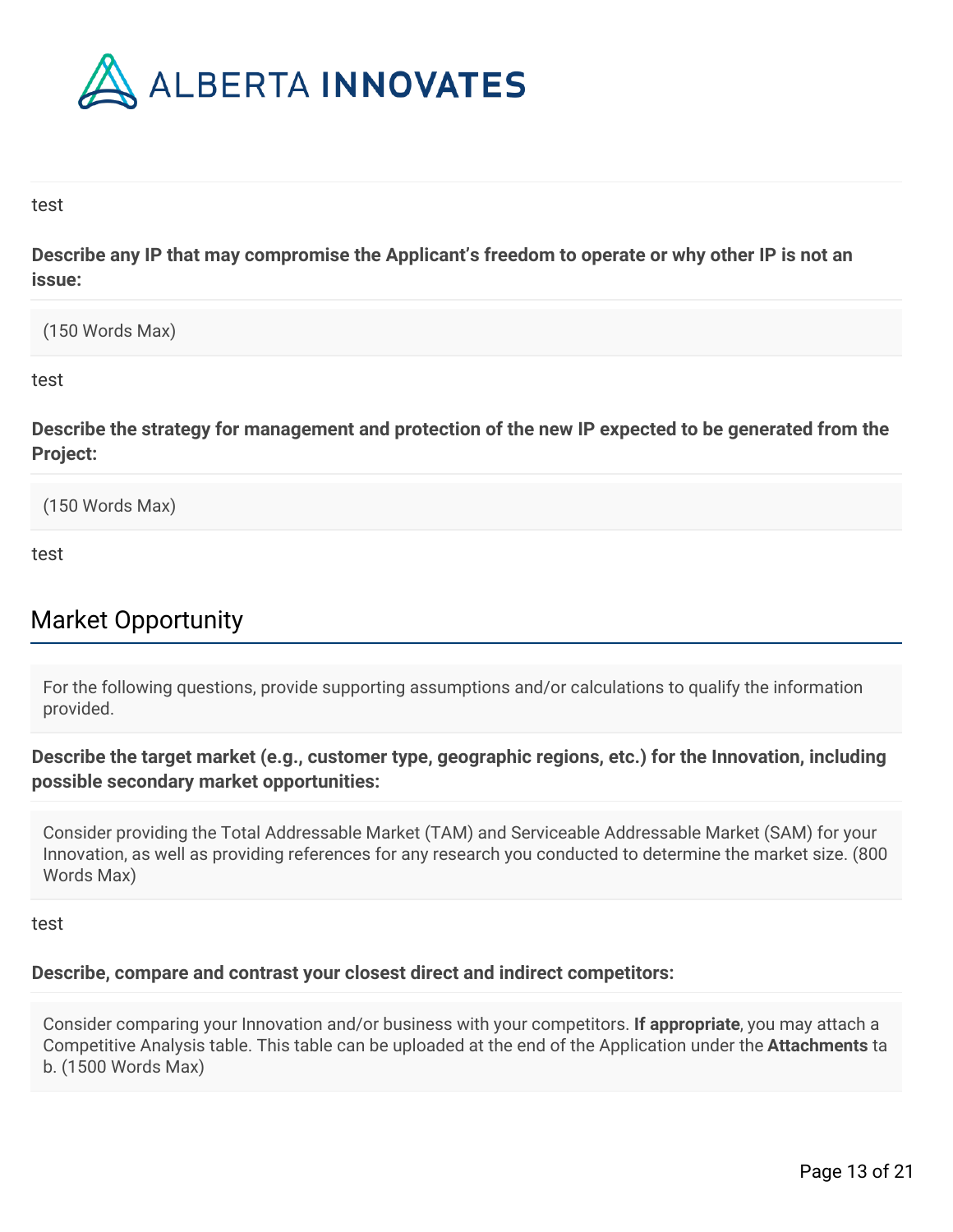

#### test

**Describe any IP that may compromise the Applicant's freedom to operate or why other IP is not an issue:**

(150 Words Max)

test

**Describe the strategy for management and protection of the new IP expected to be generated from the Project:**

(150 Words Max)

test

# Market Opportunity

For the following questions, provide supporting assumptions and/or calculations to qualify the information provided.

**Describe the target market (e.g., customer type, geographic regions, etc.) for the Innovation, including possible secondary market opportunities:**

Consider providing the Total Addressable Market (TAM) and Serviceable Addressable Market (SAM) for your Innovation, as well as providing references for any research you conducted to determine the market size. (800 Words Max)

#### test

### **Describe, compare and contrast your closest direct and indirect competitors:**

Consider comparing your Innovation and/or business with your competitors. **If appropriate**, you may attach a Competitive Analysis table. This table can be uploaded at the end of the Application under the **Attachments** ta b. (1500 Words Max)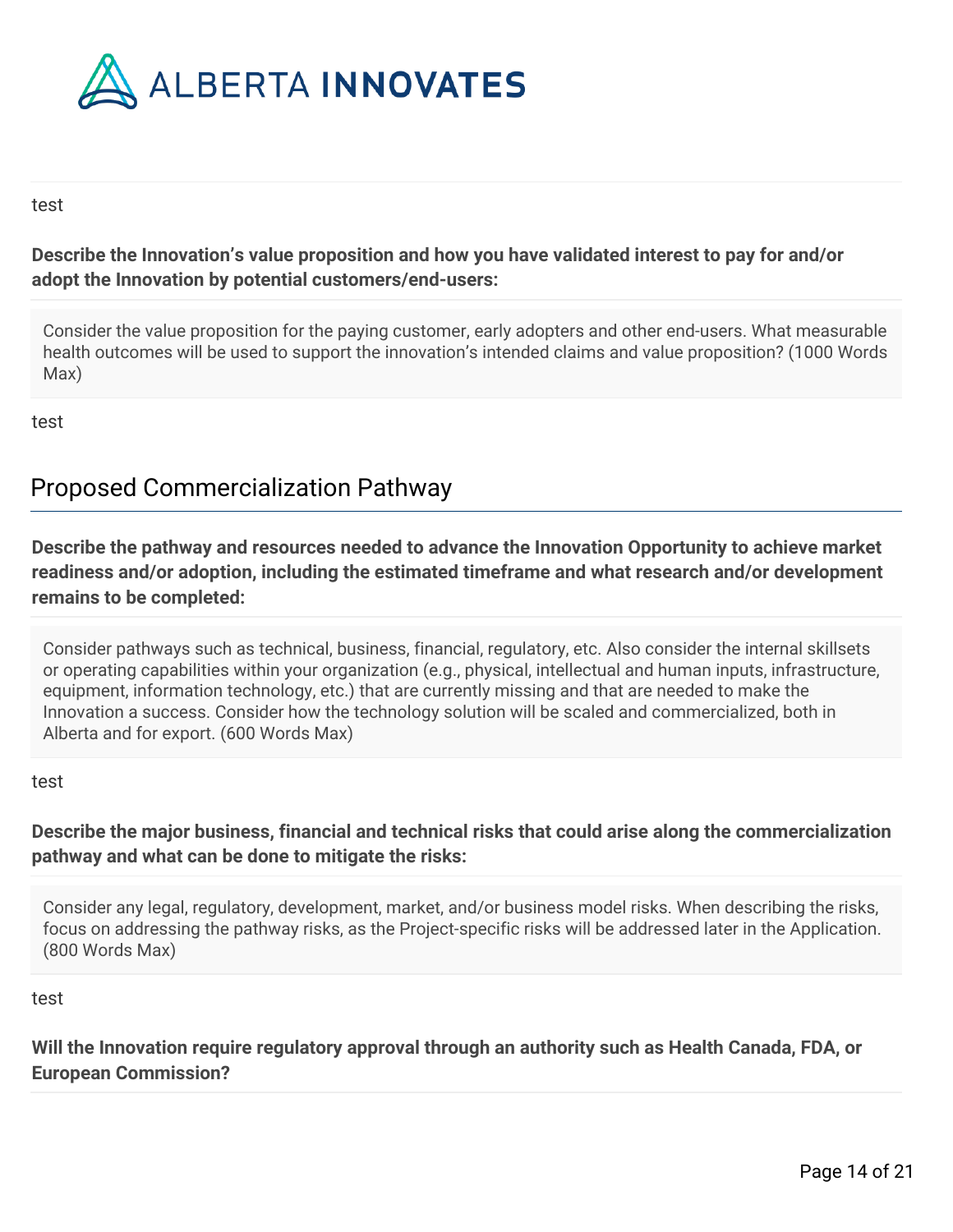

#### test

## **Describe the Innovation's value proposition and how you have validated interest to pay for and/or adopt the Innovation by potential customers/end-users:**

Consider the value proposition for the paying customer, early adopters and other end-users. What measurable health outcomes will be used to support the innovation's intended claims and value proposition? (1000 Words Max)

test

# Proposed Commercialization Pathway

**Describe the pathway and resources needed to advance the Innovation Opportunity to achieve market readiness and/or adoption, including the estimated timeframe and what research and/or development remains to be completed:**

Consider pathways such as technical, business, financial, regulatory, etc. Also consider the internal skillsets or operating capabilities within your organization (e.g., physical, intellectual and human inputs, infrastructure, equipment, information technology, etc.) that are currently missing and that are needed to make the Innovation a success. Consider how the technology solution will be scaled and commercialized, both in Alberta and for export. (600 Words Max)

#### test

**Describe the major business, financial and technical risks that could arise along the commercialization pathway and what can be done to mitigate the risks:**

Consider any legal, regulatory, development, market, and/or business model risks. When describing the risks, focus on addressing the pathway risks, as the Project-specific risks will be addressed later in the Application. (800 Words Max)

### test

**Will the Innovation require regulatory approval through an authority such as Health Canada, FDA, or European Commission?**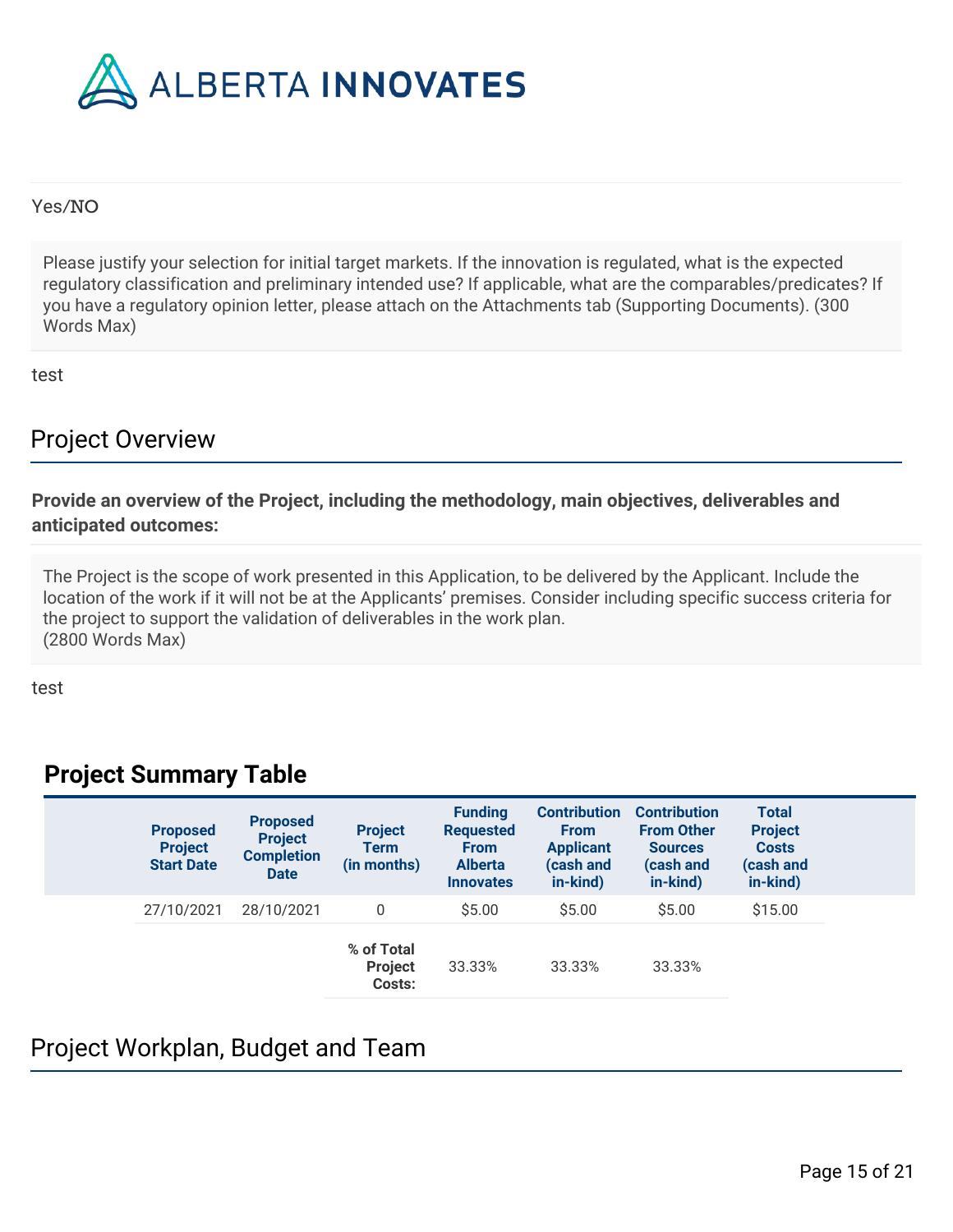

### Yes/NO

Please justify your selection for initial target markets. If the innovation is regulated, what is the expected regulatory classification and preliminary intended use? If applicable, what are the comparables/predicates? If you have a regulatory opinion letter, please attach on the Attachments tab (Supporting Documents). (300 Words Max)

test

## Project Overview

**Provide an overview of the Project, including the methodology, main objectives, deliverables and anticipated outcomes:**

The Project is the scope of work presented in this Application, to be delivered by the Applicant. Include the location of the work if it will not be at the Applicants' premises. Consider including specific success criteria for the project to support the validation of deliverables in the work plan. (2800 Words Max)

test

## **Project Summary Table**

| <b>Proposed</b><br><b>Project</b><br><b>Start Date</b> | <b>Proposed</b><br><b>Project</b><br><b>Completion</b><br><b>Date</b> | <b>Project</b><br><b>Term</b><br>(in months) | <b>Funding</b><br><b>Requested</b><br><b>From</b><br><b>Alberta</b><br><b>Innovates</b> | <b>Contribution</b><br><b>From</b><br><b>Applicant</b><br>(cash and<br>in-kind) | <b>Contribution</b><br><b>From Other</b><br><b>Sources</b><br>(cash and<br>in-kind) | <b>Total</b><br><b>Project</b><br><b>Costs</b><br>(cash and<br>in-kind) |  |
|--------------------------------------------------------|-----------------------------------------------------------------------|----------------------------------------------|-----------------------------------------------------------------------------------------|---------------------------------------------------------------------------------|-------------------------------------------------------------------------------------|-------------------------------------------------------------------------|--|
| 27/10/2021                                             | 28/10/2021                                                            | $\Omega$                                     | \$5.00                                                                                  | \$5.00                                                                          | \$5.00                                                                              | \$15.00                                                                 |  |
|                                                        |                                                                       | % of Total<br><b>Project</b><br>Costs:       | 33.33%                                                                                  | 33.33%                                                                          | 33.33%                                                                              |                                                                         |  |

# Project Workplan, Budget and Team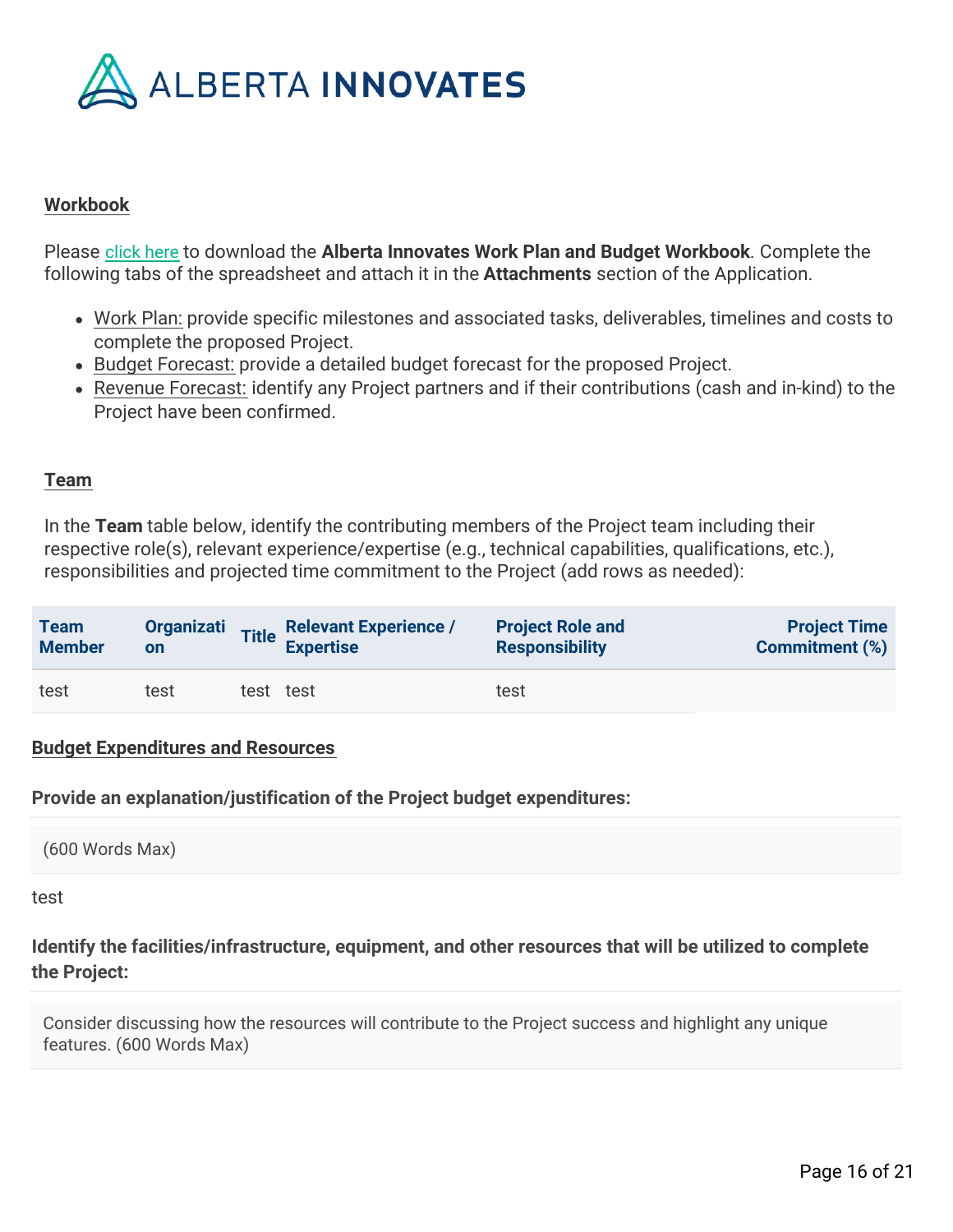

### **Workbook**

Please [click here](https://albertainnovates.smartsimple.ca/files/646815/f125423/Alberta_Innovates_Work_Plan_and_Budget_Workbook_-_v2_102020.xlsx) to download the **Alberta Innovates Work Plan and Budget Workbook**. Complete the following tabs of the spreadsheet and attach it in the **Attachments** section of the Application.

- Work Plan: provide specific milestones and associated tasks, deliverables, timelines and costs to complete the proposed Project.
- Budget Forecast: provide a detailed budget forecast for the proposed Project.
- Revenue Forecast: identify any Project partners and if their contributions (cash and in-kind) to the Project have been confirmed.

#### **Team**

In the **Team** table below, identify the contributing members of the Project team including their respective role(s), relevant experience/expertise (e.g., technical capabilities, qualifications, etc.), responsibilities and projected time commitment to the Project (add rows as needed):

| <b>Team</b>   | <b>Organizati</b> |           | Title Relevant Experience / | <b>Project Role and</b> | <b>Project Time</b>   |
|---------------|-------------------|-----------|-----------------------------|-------------------------|-----------------------|
| <b>Member</b> | on                |           | <b>Expertise</b>            | <b>Responsibility</b>   | <b>Commitment (%)</b> |
| test          | test              | test test |                             | test                    |                       |

#### **Budget Expenditures and Resources**

**Provide an explanation/justification of the Project budget expenditures:**

```
(600 Words Max)
```
#### test

### **Identify the facilities/infrastructure, equipment, and other resources that will be utilized to complete the Project:**

Consider discussing how the resources will contribute to the Project success and highlight any unique features. (600 Words Max)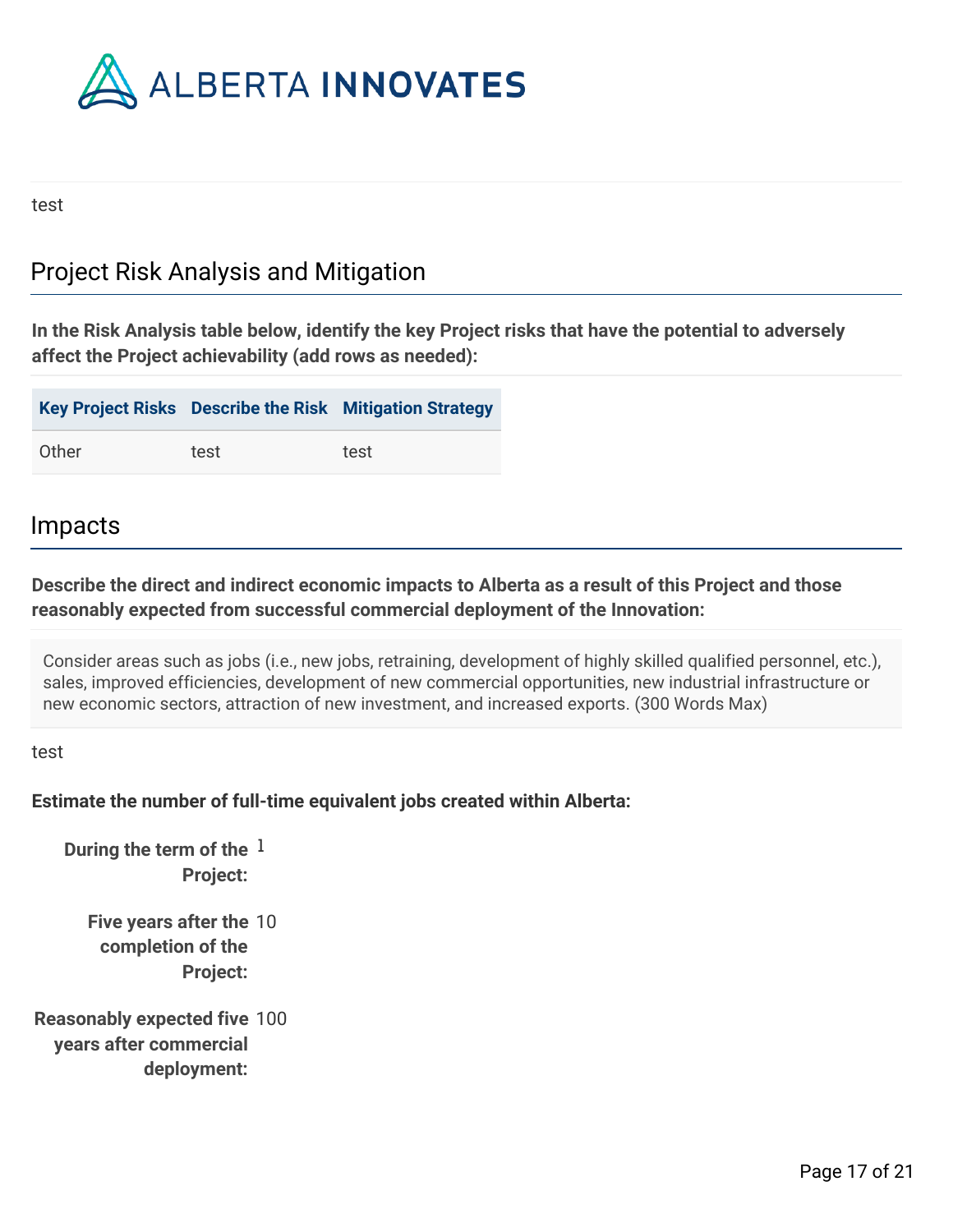

test

# Project Risk Analysis and Mitigation

**In the Risk Analysis table below, identify the key Project risks that have the potential to adversely affect the Project achievability (add rows as needed):**

|       |      | Key Project Risks Describe the Risk Mitigation Strategy |
|-------|------|---------------------------------------------------------|
| Other | test | test                                                    |

## Impacts

### **Describe the direct and indirect economic impacts to Alberta as a result of this Project and those reasonably expected from successful commercial deployment of the Innovation:**

Consider areas such as jobs (i.e., new jobs, retraining, development of highly skilled qualified personnel, etc.), sales, improved efficiencies, development of new commercial opportunities, new industrial infrastructure or new economic sectors, attraction of new investment, and increased exports. (300 Words Max)

test

## **Estimate the number of full-time equivalent jobs created within Alberta:**

**During the term of the** 1 **Project:**

> **Five years after the** 10 **completion of the Project:**

**Reasonably expected five** 100 **years after commercial deployment:**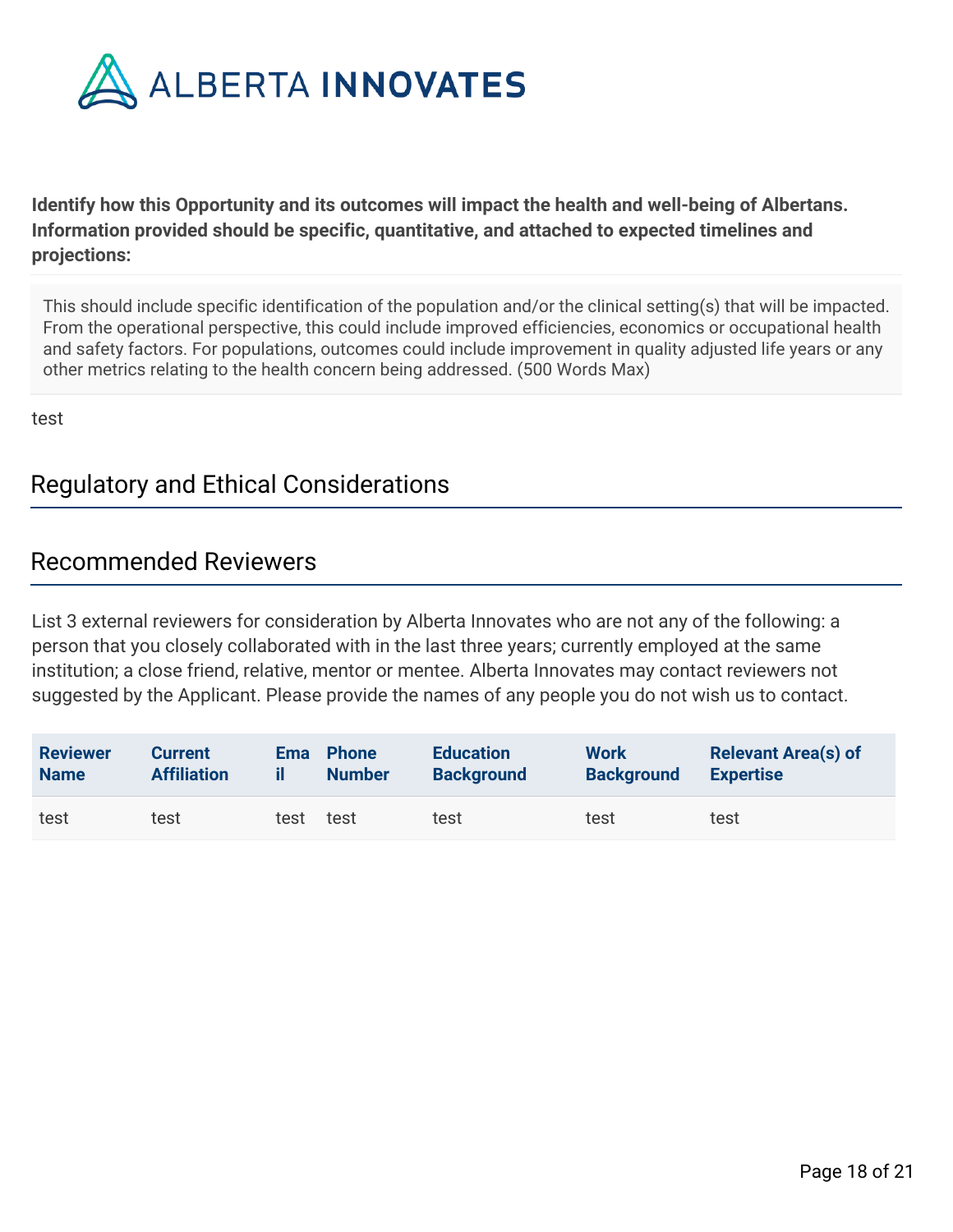

**Identify how this Opportunity and its outcomes will impact the health and well-being of Albertans. Information provided should be specific, quantitative, and attached to expected timelines and projections:**

This should include specific identification of the population and/or the clinical setting(s) that will be impacted. From the operational perspective, this could include improved efficiencies, economics or occupational health and safety factors. For populations, outcomes could include improvement in quality adjusted life years or any other metrics relating to the health concern being addressed. (500 Words Max)

test

# Regulatory and Ethical Considerations

## Recommended Reviewers

List 3 external reviewers for consideration by Alberta Innovates who are not any of the following: a person that you closely collaborated with in the last three years; currently employed at the same institution; a close friend, relative, mentor or mentee. Alberta Innovates may contact reviewers not suggested by the Applicant. Please provide the names of any people you do not wish us to contact.

| <b>Reviewer</b> | <b>Current</b>     | <b>Ema</b> | <b>Phone</b>  | <b>Education</b>  | Work              | <b>Relevant Area(s) of</b> |
|-----------------|--------------------|------------|---------------|-------------------|-------------------|----------------------------|
| <b>Name</b>     | <b>Affiliation</b> |            | <b>Number</b> | <b>Background</b> | <b>Background</b> | <b>Expertise</b>           |
| test            | test               | test       | test          | test              | test              | test                       |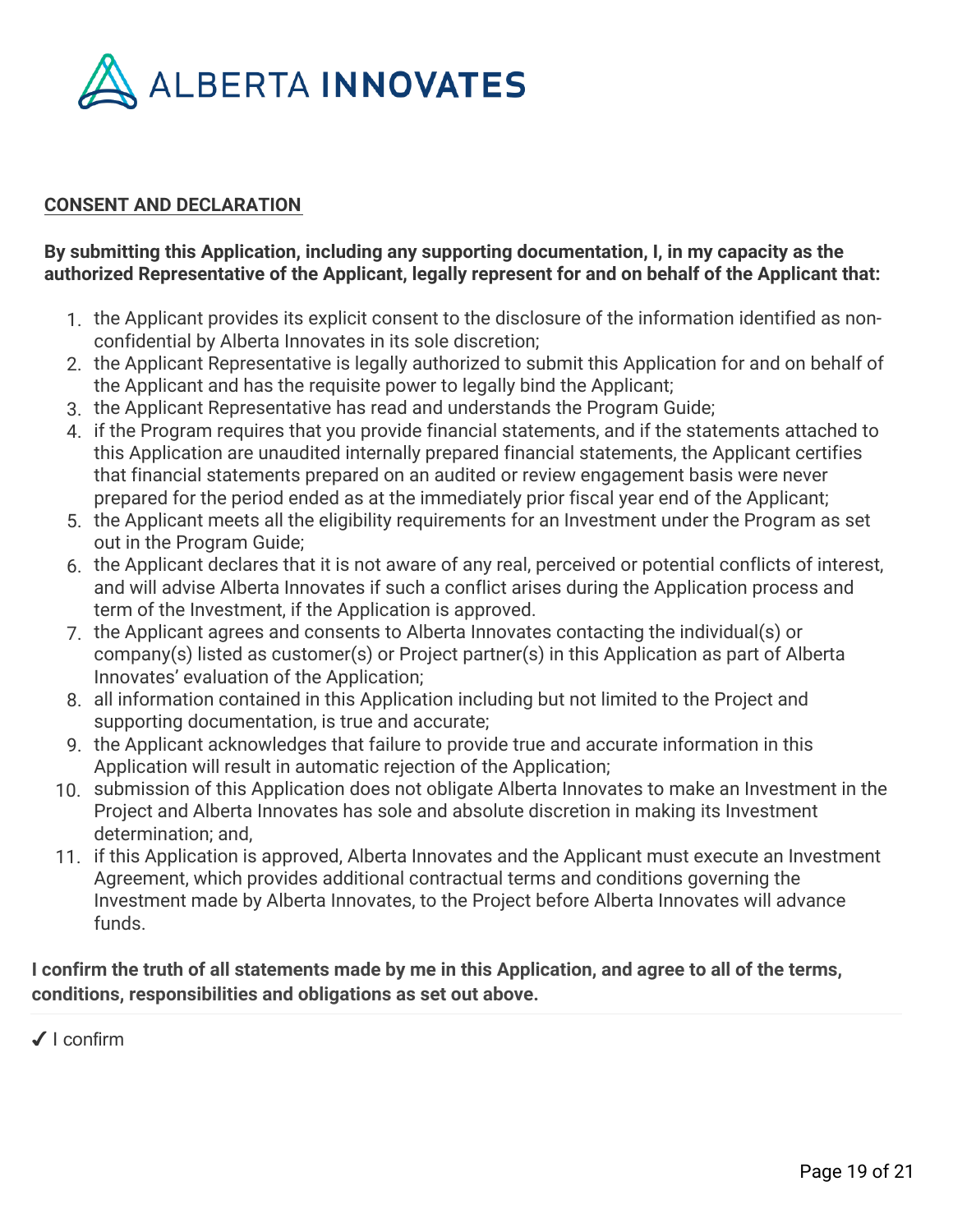

### **CONSENT AND DECLARATION**

### **By submitting this Application, including any supporting documentation, I, in my capacity as the authorized Representative of the Applicant, legally represent for and on behalf of the Applicant that:**

- 1. the Applicant provides its explicit consent to the disclosure of the information identified as nonconfidential by Alberta Innovates in its sole discretion;
- 2. the Applicant Representative is legally authorized to submit this Application for and on behalf of the Applicant and has the requisite power to legally bind the Applicant;
- 3. the Applicant Representative has read and understands the Program Guide;
- 4. if the Program requires that you provide financial statements, and if the statements attached to this Application are unaudited internally prepared financial statements, the Applicant certifies that financial statements prepared on an audited or review engagement basis were never prepared for the period ended as at the immediately prior fiscal year end of the Applicant;
- 5. the Applicant meets all the eligibility requirements for an Investment under the Program as set out in the Program Guide;
- 6. the Applicant declares that it is not aware of any real, perceived or potential conflicts of interest, and will advise Alberta Innovates if such a conflict arises during the Application process and term of the Investment, if the Application is approved.
- 7. the Applicant agrees and consents to Alberta Innovates contacting the individual(s) or company(s) listed as customer(s) or Project partner(s) in this Application as part of Alberta Innovates' evaluation of the Application;
- 8. all information contained in this Application including but not limited to the Project and supporting documentation, is true and accurate;
- 9. the Applicant acknowledges that failure to provide true and accurate information in this Application will result in automatic rejection of the Application;
- 10. submission of this Application does not obligate Alberta Innovates to make an Investment in the Project and Alberta Innovates has sole and absolute discretion in making its Investment determination; and,
- 11. if this Application is approved, Alberta Innovates and the Applicant must execute an Investment Agreement, which provides additional contractual terms and conditions governing the Investment made by Alberta Innovates, to the Project before Alberta Innovates will advance funds.

**I confirm the truth of all statements made by me in this Application, and agree to all of the terms, conditions, responsibilities and obligations as set out above.**

✔ I confirm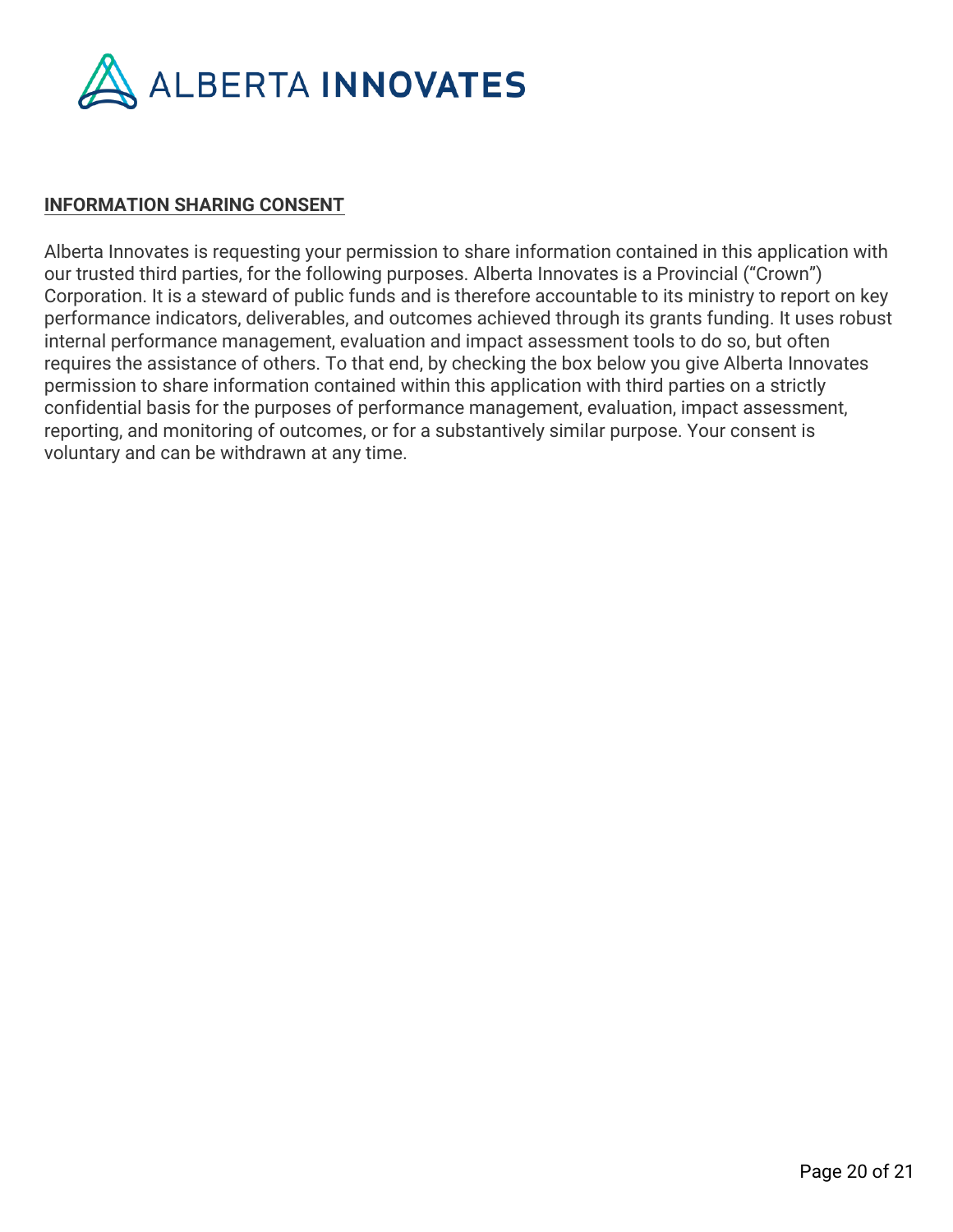

### **INFORMATION SHARING CONSENT**

Alberta Innovates is requesting your permission to share information contained in this application with our trusted third parties, for the following purposes. Alberta Innovates is a Provincial ("Crown") Corporation. It is a steward of public funds and is therefore accountable to its ministry to report on key performance indicators, deliverables, and outcomes achieved through its grants funding. It uses robust internal performance management, evaluation and impact assessment tools to do so, but often requires the assistance of others. To that end, by checking the box below you give Alberta Innovates permission to share information contained within this application with third parties on a strictly confidential basis for the purposes of performance management, evaluation, impact assessment, reporting, and monitoring of outcomes, or for a substantively similar purpose. Your consent is voluntary and can be withdrawn at any time.